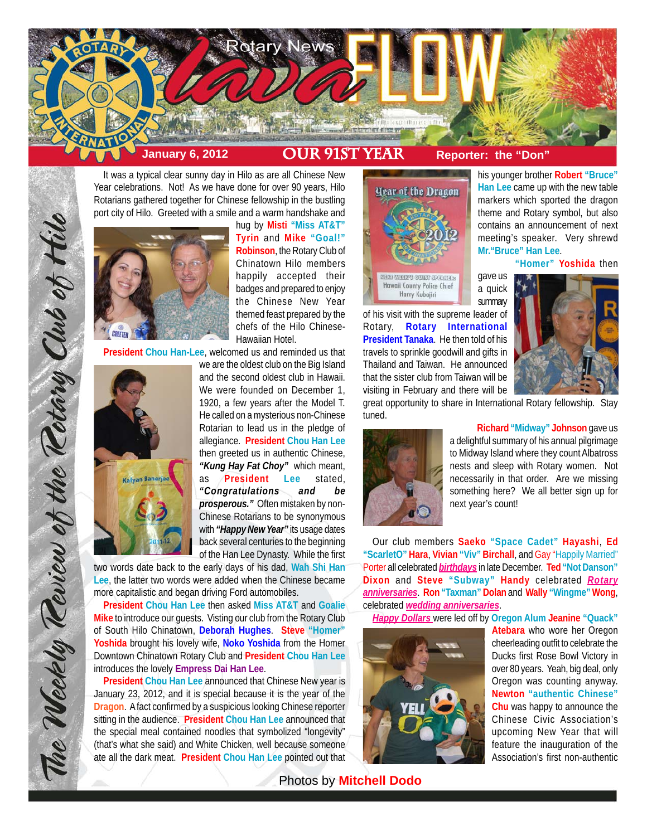

It was a typical clear sunny day in Hilo as are all Chinese New Year celebrations. Not! As we have done for over 90 years, Hilo Rotarians gathered together for Chinese fellowship in the bustling port city of Hilo. Greeted with a smile and a warm handshake and



hug by **Misti "Miss AT&T" Tyrin** and **Mike "Goal!" Robinson**, the Rotary Club of Chinatown Hilo members happily accepted their badges and prepared to enjoy the Chinese New Year themed feast prepared by the chefs of the Hilo Chinese-Hawaiian Hotel.

**President Chou Han-Lee**, welcomed us and reminded us that



The Weekly Teview of the Tetary Club of Hilo

we are the oldest club on the Big Island and the second oldest club in Hawaii. We were founded on December 1, 1920, a few years after the Model T. He called on a mysterious non-Chinese Rotarian to lead us in the pledge of allegiance. **President Chou Han Lee** then greeted us in authentic Chinese, *"Kung Hay Fat Choy"* which meant, as **President Lee** stated, *"Congratulations and be prosperous."* Often mistaken by non-Chinese Rotarians to be synonymous with *"Happy New Year"* its usage dates back several centuries to the beginning of the Han Lee Dynasty. While the first

two words date back to the early days of his dad, **Wah Shi Han Lee**, the latter two words were added when the Chinese became more capitalistic and began driving Ford automobiles.

**President Chou Han Lee** then asked **Miss AT&T** and **Goalie Mike** to introduce our guests. Visting our club from the Rotary Club of South Hilo Chinatown, **Deborah Hughes**. **Steve "Homer" Yoshida** brought his lovely wife, **Noko Yoshida** from the Homer Downtown Chinatown Rotary Club and **President Chou Han Lee** introduces the lovely **Empress Dai Han Lee**.

**President Chou Han Lee** announced that Chinese New year is January 23, 2012, and it is special because it is the year of the **Dragon**. A fact confirmed by a suspicious looking Chinese reporter sitting in the audience. **President Chou Han Lee** announced that the special meal contained noodles that symbolized "longevity" (that's what she said) and White Chicken, well because someone ate all the dark meat. **President Chou Han Lee** pointed out that



of his visit with the supreme leader of Rotary, **Rotary International President Tanaka**. He then told of his travels to sprinkle goodwill and gifts in Thailand and Taiwan. He announced that the sister club from Taiwan will be visiting in February and there will be



**"Homer" Yoshida** then

his younger brother **Robert "Bruce" Han Lee** came up with the new table markers which sported the dragon theme and Rotary symbol, but also contains an announcement of next meeting's speaker. Very shrewd

**Mr."Bruce" Han Lee**.

great opportunity to share in International Rotary fellowship. Stay tuned.

gave us

**summary** 



**Richard "Midway" Johnson** gave us a delightful summary of his annual pilgrimage to Midway Island where they count Albatross nests and sleep with Rotary women. Not necessarily in that order. Are we missing something here? We all better sign up for next year's count!

Our club members **Saeko "Space Cadet" Hayashi**, **Ed "ScarletO" Hara**, **Vivian "Viv" Birchall**, and Gay "Happily Married" Porter all celebrated *birthdays* in late December. **Ted "Not Danson" Dixon** and **Steve "Subway" Handy** celebrated *Rotary anniversaries*. **Ron "Taxman" Dolan** and **Wally "Wingme" Wong**, celebrated *wedding anniversaries*.

*Happy Dollars* were led off by **Oregon Alum Jeanine "Quack"**



**Atebara** who wore her Oregon cheerleading outfit to celebrate the Ducks first Rose Bowl Victory in over 80 years. Yeah, big deal, only Oregon was counting anyway. **Newton "authentic Chinese" Chu** was happy to announce the Chinese Civic Association's upcoming New Year that will feature the inauguration of the Association's first non-authentic

Photos by **Mitchell Dodo**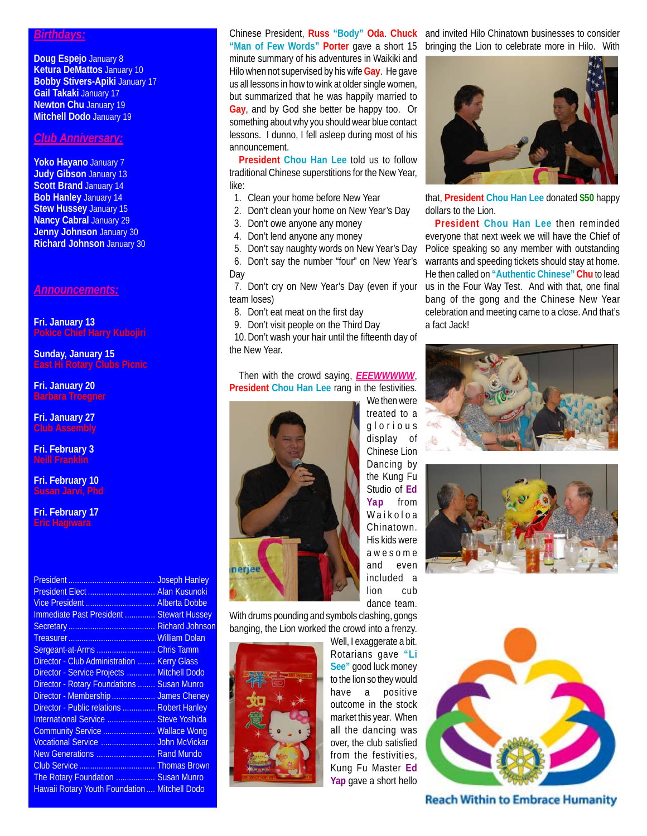## *Birthdays:*

**Doug Espejo** January 8 **Ketura DeMattos** January 10 **Bobby Stivers-Apiki** January 17 **Gail Takaki** January 17 **Newton Chu** January 19 **Mitchell Dodo** January 19

## *Club Anniversary:*

**Yoko Hayano** January 7 **Judy Gibson** January 13 **Scott Brand January 14 Bob Hanley** January 14 **Stew Hussey** January 15 **Nancy Cabral** January 29 **Jenny Johnson** January 30 **Richard Johnson** January 30

*Announcements:*

**Fri. January 13 Pokice Chief Harry Kubojiri**

## **Sunday, January 15 East Hi Rotary Clubs Picnic**

**Fri. January 20 Barbara Troegner**

**Fri. January 27 Club Assembly**

**Fri. February 3 Neill Franklin**

**Fri. February 10 Susan Jarvi, Phd**

**Fri. February 17 Eric Hagiwara**

|                                               | <b>Joseph Hanley</b>  |
|-----------------------------------------------|-----------------------|
|                                               | <b>Alan Kusunoki</b>  |
|                                               | <b>Alberta Dobbe</b>  |
| Immediate Past President                      | <b>Stewart Hussey</b> |
|                                               |                       |
|                                               |                       |
| Sergeant-at-Arms  Chris Tamm                  |                       |
| Director - Club Administration                | <b>Kerry Glass</b>    |
| <b>Director - Service Projects</b><br>.       | <b>Mitchell Dodo</b>  |
| Director - Rotary Foundations  Susan Munro    |                       |
| Director - Membership  James Cheney           |                       |
| Director - Public relations  Robert Hanley    |                       |
| International Service  Steve Yoshida          |                       |
| Community Service  Wallace Wong               |                       |
| Vocational Service                            | <b>John McVickar</b>  |
| New Generations  Rand Mundo                   |                       |
|                                               |                       |
| The Rotary Foundation  Susan Munro            |                       |
| Hawaii Rotary Youth Foundation  Mitchell Dodo |                       |

## **"Man of Few Words" Porter** gave a short 15

minute summary of his adventures in Waikiki and Hilo when not supervised by his wife **Gay**. He gave us all lessons in how to wink at older single women, but summarized that he was happily married to **Gay**, and by God she better be happy too. Or something about why you should wear blue contact lessons. I dunno, I fell asleep during most of his announcement.

**President Chou Han Lee** told us to follow traditional Chinese superstitions for the New Year, like:

- 1. Clean your home before New Year
- 2. Don't clean your home on New Year's Day
- 3. Don't owe anyone any money
- 4. Don't lend anyone any money

 5. Don't say naughty words on New Year's Day 6. Don't say the number "four" on New Year's Day

 7. Don't cry on New Year's Day (even if your team loses)

8. Don't eat meat on the first day

 9. Don't visit people on the Third Day 10. Don't wash your hair until the fifteenth day of the New Year.

Then with the crowd saying, *EEEWWWWW*, **President Chou Han Lee** rang in the festivities.



We then were treated to a glorious display of Chinese Lion Dancing by the Kung Fu Studio of **Ed Yap** from Waikoloa Chinatown. His kids were awesome and even included a lion cub dance team.







With drums pounding and symbols clashing, gongs banging, the Lion worked the crowd into a frenzy.



Well, I exaggerate a bit. Rotarians gave **"Li See"** good luck money to the lion so they would have a positive outcome in the stock market this year. When all the dancing was over, the club satisfied from the festivities, Kung Fu Master **Ed Yap** gave a short hello



**Reach Within to Embrace Humanity** 

Chinese President, **Russ "Body" Oda**. **Chuck** and invited Hilo Chinatown businesses to consider bringing the Lion to celebrate more in Hilo. With